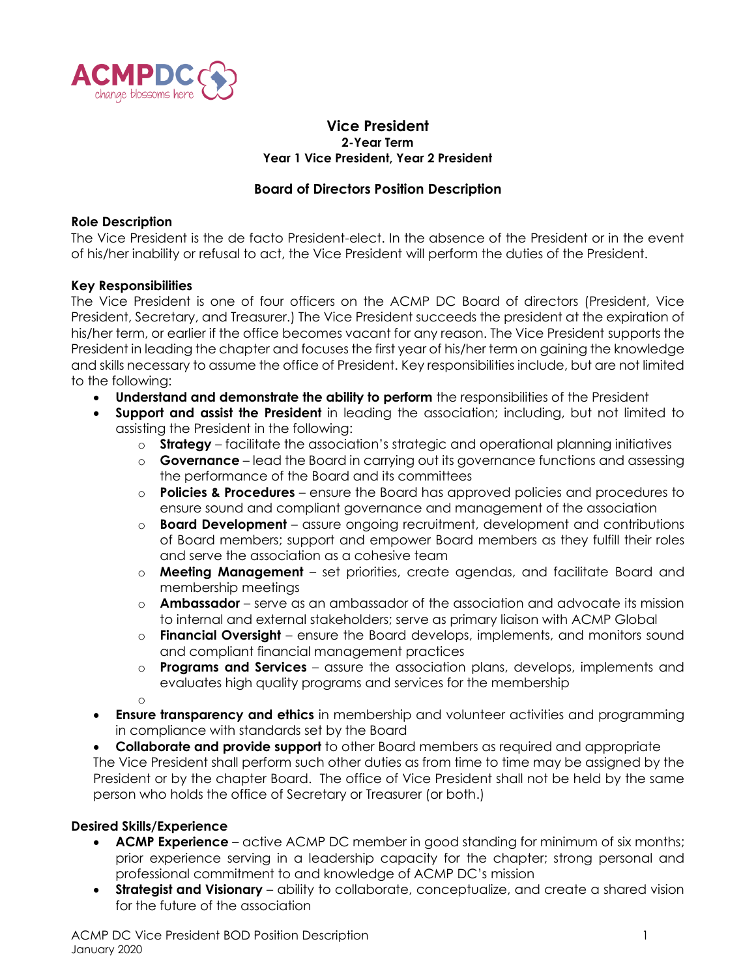

#### **Vice President 2-Year Term Year 1 Vice President, Year 2 President**

# **Board of Directors Position Description**

#### **Role Description**

The Vice President is the de facto President-elect. In the absence of the President or in the event of his/her inability or refusal to act, the Vice President will perform the duties of the President.

## **Key Responsibilities**

The Vice President is one of four officers on the ACMP DC Board of directors (President, Vice President, Secretary, and Treasurer.) The Vice President succeeds the president at the expiration of his/her term, or earlier if the office becomes vacant for any reason. The Vice President supports the President in leading the chapter and focuses the first year of his/her term on gaining the knowledge and skills necessary to assume the office of President. Key responsibilities include, but are not limited to the following:

- **Understand and demonstrate the ability to perform** the responsibilities of the President
- **Support and assist the President** in leading the association; including, but not limited to assisting the President in the following:
	- o **Strategy** facilitate the association's strategic and operational planning initiatives
	- o **Governance** lead the Board in carrying out its governance functions and assessing the performance of the Board and its committees
	- o **Policies & Procedures** ensure the Board has approved policies and procedures to ensure sound and compliant governance and management of the association
	- o **Board Development** assure ongoing recruitment, development and contributions of Board members; support and empower Board members as they fulfill their roles and serve the association as a cohesive team
	- o **Meeting Management** set priorities, create agendas, and facilitate Board and membership meetings
	- o **Ambassador** serve as an ambassador of the association and advocate its mission to internal and external stakeholders; serve as primary liaison with ACMP Global
	- o **Financial Oversight** ensure the Board develops, implements, and monitors sound and compliant financial management practices
	- o **Programs and Services** assure the association plans, develops, implements and evaluates high quality programs and services for the membership

o

• **Ensure transparency and ethics** in membership and volunteer activities and programming in compliance with standards set by the Board

• **Collaborate and provide support** to other Board members as required and appropriate The Vice President shall perform such other duties as from time to time may be assigned by the President or by the chapter Board. The office of Vice President shall not be held by the same person who holds the office of Secretary or Treasurer (or both.)

## **Desired Skills/Experience**

- **ACMP Experience** active ACMP DC member in good standing for minimum of six months; prior experience serving in a leadership capacity for the chapter; strong personal and professional commitment to and knowledge of ACMP DC's mission
- **Strategist and Visionary** ability to collaborate, conceptualize, and create a shared vision for the future of the association